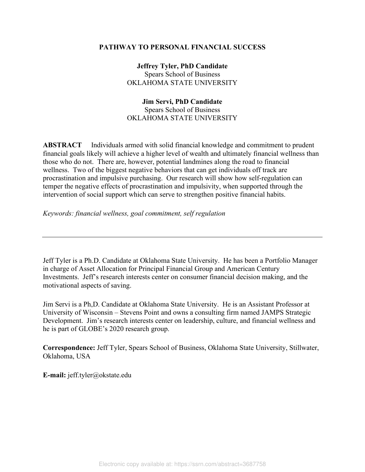# **PATHWAY TO PERSONAL FINANCIAL SUCCESS**

**Jeffrey Tyler, PhD Candidate**  Spears School of Business OKLAHOMA STATE UNIVERSITY

# **Jim Servi, PhD Candidate**

Spears School of Business OKLAHOMA STATE UNIVERSITY

**ABSTRACT** Individuals armed with solid financial knowledge and commitment to prudent financial goals likely will achieve a higher level of wealth and ultimately financial wellness than those who do not. There are, however, potential landmines along the road to financial wellness. Two of the biggest negative behaviors that can get individuals off track are procrastination and impulsive purchasing. Our research will show how self-regulation can temper the negative effects of procrastination and impulsivity, when supported through the intervention of social support which can serve to strengthen positive financial habits.

*Keywords: financial wellness, goal commitment, self regulation* 

Jeff Tyler is a Ph.D. Candidate at Oklahoma State University. He has been a Portfolio Manager in charge of Asset Allocation for Principal Financial Group and American Century Investments. Jeff's research interests center on consumer financial decision making, and the motivational aspects of saving.

Jim Servi is a Ph,D. Candidate at Oklahoma State University. He is an Assistant Professor at University of Wisconsin – Stevens Point and owns a consulting firm named JAMPS Strategic Development. Jim's research interests center on leadership, culture, and financial wellness and he is part of GLOBE's 2020 research group.

**Correspondence:** Jeff Tyler, Spears School of Business, Oklahoma State University, Stillwater, Oklahoma, USA

**E-mail:** jeff.tyler@okstate.edu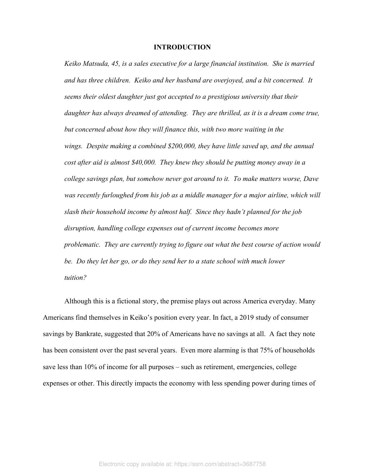# **INTRODUCTION**

*Keiko Matsuda, 45, is a sales executive for a large financial institution. She is married and has three children. Keiko and her husband are overjoyed, and a bit concerned. It seems their oldest daughter just got accepted to a prestigious university that their*  daughter has always dreamed of attending. They are thrilled, as it is a dream come true, *but concerned about how they will finance this, with two more waiting in the wings. Despite making a combined \$200,000, they have little saved up, and the annual cost after aid is almost \$40,000. They knew they should be putting money away in a college savings plan, but somehow never got around to it. To make matters worse, Dave*  was recently furloughed from his job as a middle manager for a major airline, which will *slash their household income by almost half. Since they hadn't planned for the job disruption, handling college expenses out of current income becomes more problematic. They are currently trying to figure out what the best course of action would be. Do they let her go, or do they send her to a state school with much lower tuition?* 

Although this is a fictional story, the premise plays out across America everyday. Many Americans find themselves in Keiko's position every year. In fact, a 2019 study of consumer savings by Bankrate, suggested that 20% of Americans have no savings at all. A fact they note has been consistent over the past several years. Even more alarming is that 75% of households save less than 10% of income for all purposes – such as retirement, emergencies, college expenses or other. This directly impacts the economy with less spending power during times of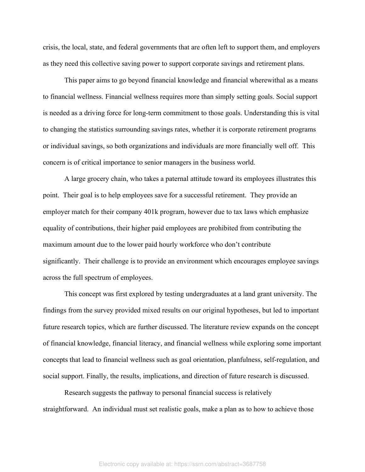crisis, the local, state, and federal governments that are often left to support them, and employers as they need this collective saving power to support corporate savings and retirement plans.

This paper aims to go beyond financial knowledge and financial wherewithal as a means to financial wellness. Financial wellness requires more than simply setting goals. Social support is needed as a driving force for long-term commitment to those goals. Understanding this is vital to changing the statistics surrounding savings rates, whether it is corporate retirement programs or individual savings, so both organizations and individuals are more financially well off. This concern is of critical importance to senior managers in the business world.

A large grocery chain, who takes a paternal attitude toward its employees illustrates this point. Their goal is to help employees save for a successful retirement. They provide an employer match for their company 401k program, however due to tax laws which emphasize equality of contributions, their higher paid employees are prohibited from contributing the maximum amount due to the lower paid hourly workforce who don't contribute significantly. Their challenge is to provide an environment which encourages employee savings across the full spectrum of employees.

This concept was first explored by testing undergraduates at a land grant university. The findings from the survey provided mixed results on our original hypotheses, but led to important future research topics, which are further discussed. The literature review expands on the concept of financial knowledge, financial literacy, and financial wellness while exploring some important concepts that lead to financial wellness such as goal orientation, planfulness, self-regulation, and social support. Finally, the results, implications, and direction of future research is discussed.

Research suggests the pathway to personal financial success is relatively straightforward. An individual must set realistic goals, make a plan as to how to achieve those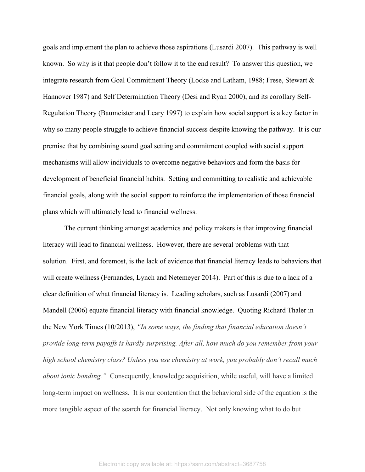goals and implement the plan to achieve those aspirations (Lusardi 2007). This pathway is well known. So why is it that people don't follow it to the end result? To answer this question, we integrate research from Goal Commitment Theory (Locke and Latham, 1988; Frese, Stewart & Hannover 1987) and Self Determination Theory (Desi and Ryan 2000), and its corollary Self-Regulation Theory (Baumeister and Leary 1997) to explain how social support is a key factor in why so many people struggle to achieve financial success despite knowing the pathway. It is our premise that by combining sound goal setting and commitment coupled with social support mechanisms will allow individuals to overcome negative behaviors and form the basis for development of beneficial financial habits. Setting and committing to realistic and achievable financial goals, along with the social support to reinforce the implementation of those financial plans which will ultimately lead to financial wellness.

The current thinking amongst academics and policy makers is that improving financial literacy will lead to financial wellness. However, there are several problems with that solution. First, and foremost, is the lack of evidence that financial literacy leads to behaviors that will create wellness (Fernandes, Lynch and Netemeyer 2014). Part of this is due to a lack of a clear definition of what financial literacy is. Leading scholars, such as Lusardi (2007) and Mandell (2006) equate financial literacy with financial knowledge. Quoting Richard Thaler in the New York Times (10/2013), *"In some ways, the finding that financial education doesn't provide long-term payoffs is hardly surprising. After all, how much do you remember from your high school chemistry class? Unless you use chemistry at work, you probably don't recall much about ionic bonding."* Consequently, knowledge acquisition, while useful, will have a limited long-term impact on wellness. It is our contention that the behavioral side of the equation is the more tangible aspect of the search for financial literacy. Not only knowing what to do but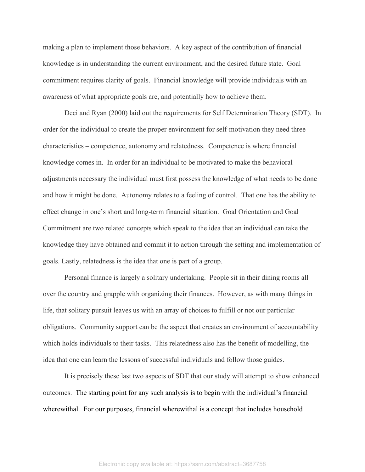making a plan to implement those behaviors. A key aspect of the contribution of financial knowledge is in understanding the current environment, and the desired future state. Goal commitment requires clarity of goals. Financial knowledge will provide individuals with an awareness of what appropriate goals are, and potentially how to achieve them.

Deci and Ryan (2000) laid out the requirements for Self Determination Theory (SDT). In order for the individual to create the proper environment for self-motivation they need three characteristics – competence, autonomy and relatedness. Competence is where financial knowledge comes in. In order for an individual to be motivated to make the behavioral adjustments necessary the individual must first possess the knowledge of what needs to be done and how it might be done. Autonomy relates to a feeling of control. That one has the ability to effect change in one's short and long-term financial situation. Goal Orientation and Goal Commitment are two related concepts which speak to the idea that an individual can take the knowledge they have obtained and commit it to action through the setting and implementation of goals. Lastly, relatedness is the idea that one is part of a group.

Personal finance is largely a solitary undertaking. People sit in their dining rooms all over the country and grapple with organizing their finances. However, as with many things in life, that solitary pursuit leaves us with an array of choices to fulfill or not our particular obligations. Community support can be the aspect that creates an environment of accountability which holds individuals to their tasks. This relatedness also has the benefit of modelling, the idea that one can learn the lessons of successful individuals and follow those guides.

It is precisely these last two aspects of SDT that our study will attempt to show enhanced outcomes. The starting point for any such analysis is to begin with the individual's financial wherewithal. For our purposes, financial wherewithal is a concept that includes household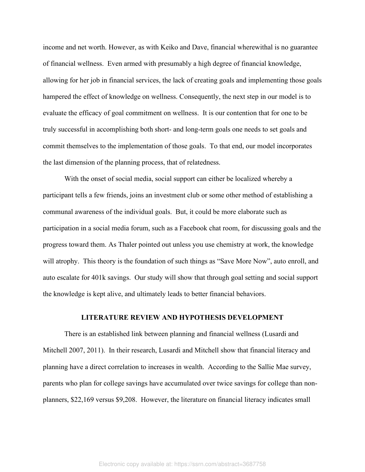income and net worth. However, as with Keiko and Dave, financial wherewithal is no guarantee of financial wellness. Even armed with presumably a high degree of financial knowledge, allowing for her job in financial services, the lack of creating goals and implementing those goals hampered the effect of knowledge on wellness. Consequently, the next step in our model is to evaluate the efficacy of goal commitment on wellness. It is our contention that for one to be truly successful in accomplishing both short- and long-term goals one needs to set goals and commit themselves to the implementation of those goals. To that end, our model incorporates the last dimension of the planning process, that of relatedness.

With the onset of social media, social support can either be localized whereby a participant tells a few friends, joins an investment club or some other method of establishing a communal awareness of the individual goals. But, it could be more elaborate such as participation in a social media forum, such as a Facebook chat room, for discussing goals and the progress toward them. As Thaler pointed out unless you use chemistry at work, the knowledge will atrophy. This theory is the foundation of such things as "Save More Now", auto enroll, and auto escalate for 401k savings. Our study will show that through goal setting and social support the knowledge is kept alive, and ultimately leads to better financial behaviors.

# **LITERATURE REVIEW AND HYPOTHESIS DEVELOPMENT**

There is an established link between planning and financial wellness (Lusardi and Mitchell 2007, 2011). In their research, Lusardi and Mitchell show that financial literacy and planning have a direct correlation to increases in wealth. According to the Sallie Mae survey, parents who plan for college savings have accumulated over twice savings for college than nonplanners, \$22,169 versus \$9,208. However, the literature on financial literacy indicates small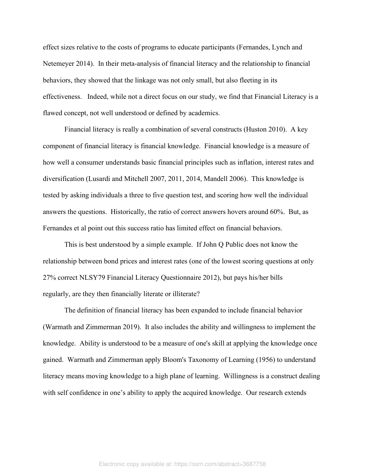effect sizes relative to the costs of programs to educate participants (Fernandes, Lynch and Netemeyer 2014). In their meta-analysis of financial literacy and the relationship to financial behaviors, they showed that the linkage was not only small, but also fleeting in its effectiveness. Indeed, while not a direct focus on our study, we find that Financial Literacy is a flawed concept, not well understood or defined by academics.

Financial literacy is really a combination of several constructs (Huston 2010). A key component of financial literacy is financial knowledge. Financial knowledge is a measure of how well a consumer understands basic financial principles such as inflation, interest rates and diversification (Lusardi and Mitchell 2007, 2011, 2014, Mandell 2006). This knowledge is tested by asking individuals a three to five question test, and scoring how well the individual answers the questions. Historically, the ratio of correct answers hovers around 60%. But, as Fernandes et al point out this success ratio has limited effect on financial behaviors.

This is best understood by a simple example. If John Q Public does not know the relationship between bond prices and interest rates (one of the lowest scoring questions at only 27% correct NLSY79 Financial Literacy Questionnaire 2012), but pays his/her bills regularly, are they then financially literate or illiterate?

The definition of financial literacy has been expanded to include financial behavior (Warmath and Zimmerman 2019). It also includes the ability and willingness to implement the knowledge. Ability is understood to be a measure of one's skill at applying the knowledge once gained. Warmath and Zimmerman apply Bloom's Taxonomy of Learning (1956) to understand literacy means moving knowledge to a high plane of learning. Willingness is a construct dealing with self confidence in one's ability to apply the acquired knowledge. Our research extends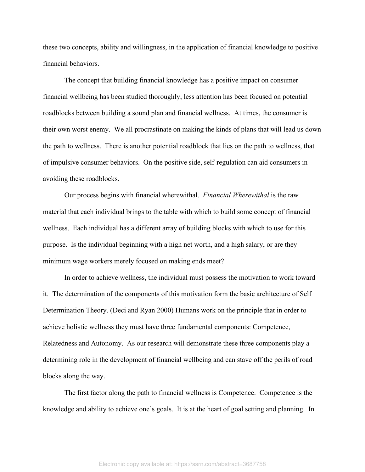these two concepts, ability and willingness, in the application of financial knowledge to positive financial behaviors.

The concept that building financial knowledge has a positive impact on consumer financial wellbeing has been studied thoroughly, less attention has been focused on potential roadblocks between building a sound plan and financial wellness. At times, the consumer is their own worst enemy. We all procrastinate on making the kinds of plans that will lead us down the path to wellness. There is another potential roadblock that lies on the path to wellness, that of impulsive consumer behaviors. On the positive side, self-regulation can aid consumers in avoiding these roadblocks.

Our process begins with financial wherewithal. *Financial Wherewithal* is the raw material that each individual brings to the table with which to build some concept of financial wellness. Each individual has a different array of building blocks with which to use for this purpose. Is the individual beginning with a high net worth, and a high salary, or are they minimum wage workers merely focused on making ends meet?

In order to achieve wellness, the individual must possess the motivation to work toward it. The determination of the components of this motivation form the basic architecture of Self Determination Theory. (Deci and Ryan 2000) Humans work on the principle that in order to achieve holistic wellness they must have three fundamental components: Competence, Relatedness and Autonomy. As our research will demonstrate these three components play a determining role in the development of financial wellbeing and can stave off the perils of road blocks along the way.

The first factor along the path to financial wellness is Competence. Competence is the knowledge and ability to achieve one's goals. It is at the heart of goal setting and planning. In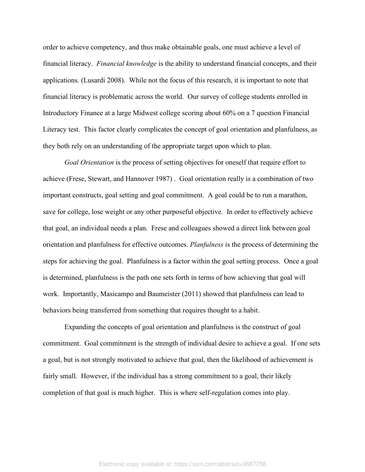order to achieve competency, and thus make obtainable goals, one must achieve a level of financial literacy. *Financial knowledge* is the ability to understand financial concepts, and their applications. (Lusardi 2008). While not the focus of this research, it is important to note that financial literacy is problematic across the world. Our survey of college students enrolled in Introductory Finance at a large Midwest college scoring about 60% on a 7 question Financial Literacy test. This factor clearly complicates the concept of goal orientation and planfulness, as they both rely on an understanding of the appropriate target upon which to plan.

*Goal Orientation* is the process of setting objectives for oneself that require effort to achieve (Frese, Stewart, and Hannover 1987) . Goal orientation really is a combination of two important constructs, goal setting and goal commitment. A goal could be to run a marathon, save for college, lose weight or any other purposeful objective. In order to effectively achieve that goal, an individual needs a plan. Frese and colleagues showed a direct link between goal orientation and planfulness for effective outcomes. *Planfulness* is the process of determining the steps for achieving the goal. Planfulness is a factor within the goal setting process. Once a goal is determined, planfulness is the path one sets forth in terms of how achieving that goal will work. Importantly, Masicampo and Baumeister (2011) showed that planfulness can lead to behaviors being transferred from something that requires thought to a habit.

Expanding the concepts of goal orientation and planfulness is the construct of goal commitment. Goal commitment is the strength of individual desire to achieve a goal. If one sets a goal, but is not strongly motivated to achieve that goal, then the likelihood of achievement is fairly small. However, if the individual has a strong commitment to a goal, their likely completion of that goal is much higher. This is where self-regulation comes into play.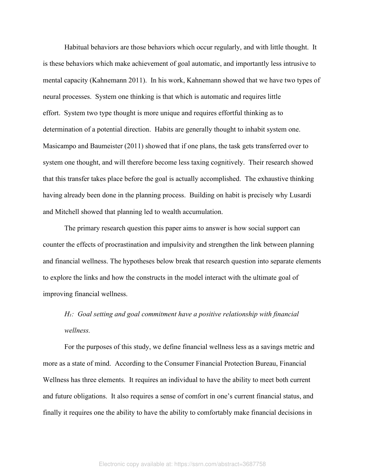Habitual behaviors are those behaviors which occur regularly, and with little thought. It is these behaviors which make achievement of goal automatic, and importantly less intrusive to mental capacity (Kahnemann 2011). In his work, Kahnemann showed that we have two types of neural processes. System one thinking is that which is automatic and requires little effort. System two type thought is more unique and requires effortful thinking as to determination of a potential direction. Habits are generally thought to inhabit system one. Masicampo and Baumeister (2011) showed that if one plans, the task gets transferred over to system one thought, and will therefore become less taxing cognitively. Their research showed that this transfer takes place before the goal is actually accomplished. The exhaustive thinking having already been done in the planning process. Building on habit is precisely why Lusardi and Mitchell showed that planning led to wealth accumulation.

The primary research question this paper aims to answer is how social support can counter the effects of procrastination and impulsivity and strengthen the link between planning and financial wellness. The hypotheses below break that research question into separate elements to explore the links and how the constructs in the model interact with the ultimate goal of improving financial wellness.

*H₁: Goal setting and goal commitment have a positive relationship with financial wellness.*

For the purposes of this study, we define financial wellness less as a savings metric and more as a state of mind. According to the Consumer Financial Protection Bureau, Financial Wellness has three elements. It requires an individual to have the ability to meet both current and future obligations. It also requires a sense of comfort in one's current financial status, and finally it requires one the ability to have the ability to comfortably make financial decisions in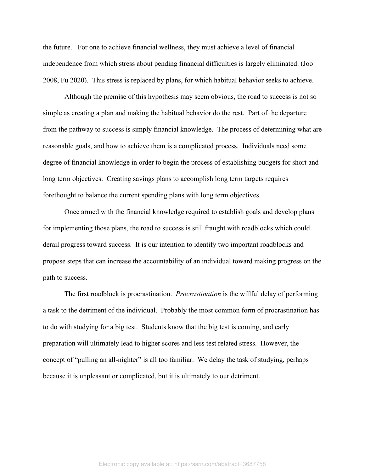the future. For one to achieve financial wellness, they must achieve a level of financial independence from which stress about pending financial difficulties is largely eliminated. (Joo 2008, Fu 2020). This stress is replaced by plans, for which habitual behavior seeks to achieve.

Although the premise of this hypothesis may seem obvious, the road to success is not so simple as creating a plan and making the habitual behavior do the rest. Part of the departure from the pathway to success is simply financial knowledge. The process of determining what are reasonable goals, and how to achieve them is a complicated process. Individuals need some degree of financial knowledge in order to begin the process of establishing budgets for short and long term objectives. Creating savings plans to accomplish long term targets requires forethought to balance the current spending plans with long term objectives.

Once armed with the financial knowledge required to establish goals and develop plans for implementing those plans, the road to success is still fraught with roadblocks which could derail progress toward success. It is our intention to identify two important roadblocks and propose steps that can increase the accountability of an individual toward making progress on the path to success.

The first roadblock is procrastination. *Procrastination* is the willful delay of performing a task to the detriment of the individual. Probably the most common form of procrastination has to do with studying for a big test. Students know that the big test is coming, and early preparation will ultimately lead to higher scores and less test related stress. However, the concept of "pulling an all-nighter" is all too familiar. We delay the task of studying, perhaps because it is unpleasant or complicated, but it is ultimately to our detriment.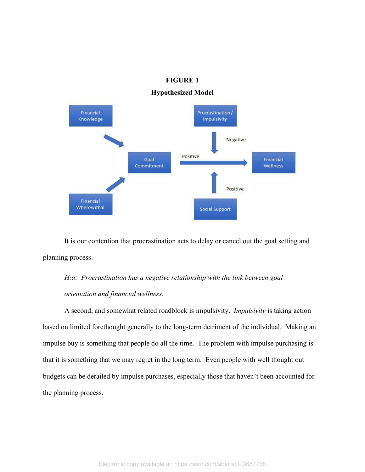# **FIGURE 1**

# **Hypothesized Model**



It is our contention that procrastination acts to delay or cancel out the goal setting and planning process.

# *H₂a: Procrastination has a negative relationship with the link between goal orientation and financial wellness.*

A second, and somewhat related roadblock is impulsivity. *Impulsivity* is taking action based on limited forethought generally to the long-term detriment of the individual. Making an impulse buy is something that people do all the time. The problem with impulse purchasing is that it is something that we may regret in the long term. Even people with well thought out budgets can be derailed by impulse purchases, especially those that haven't been accounted for the planning process.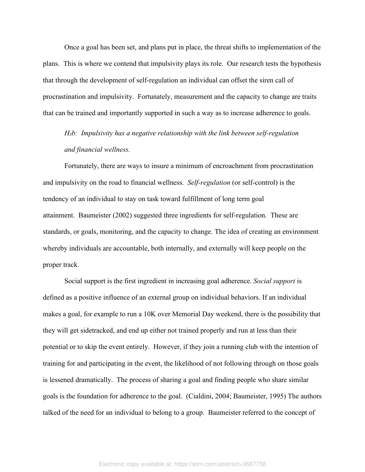Once a goal has been set, and plans put in place, the threat shifts to implementation of the plans. This is where we contend that impulsivity plays its role. Our research tests the hypothesis that through the development of self-regulation an individual can offset the siren call of procrastination and impulsivity. Fortunately, measurement and the capacity to change are traits that can be trained and importantly supported in such a way as to increase adherence to goals.

*H₂b: Impulsivity has a negative relationship with the link between self-regulation and financial wellness.* 

Fortunately, there are ways to insure a minimum of encroachment from procrastination and impulsivity on the road to financial wellness. *Self-regulation* (or self-control) is the tendency of an individual to stay on task toward fulfillment of long term goal attainment. Baumeister (2002) suggested three ingredients for self-regulation. These are standards, or goals, monitoring, and the capacity to change. The idea of creating an environment whereby individuals are accountable, both internally, and externally will keep people on the proper track.

Social support is the first ingredient in increasing goal adherence. *Social support* is defined as a positive influence of an external group on individual behaviors. If an individual makes a goal, for example to run a 10K over Memorial Day weekend, there is the possibility that they will get sidetracked, and end up either not trained properly and run at less than their potential or to skip the event entirely. However, if they join a running club with the intention of training for and participating in the event, the likelihood of not following through on those goals is lessened dramatically. The process of sharing a goal and finding people who share similar goals is the foundation for adherence to the goal. (Cialdini, 2004; Baumeister, 1995) The authors talked of the need for an individual to belong to a group. Baumeister referred to the concept of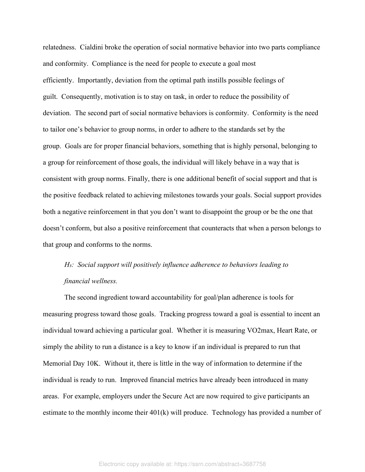relatedness. Cialdini broke the operation of social normative behavior into two parts compliance and conformity. Compliance is the need for people to execute a goal most efficiently. Importantly, deviation from the optimal path instills possible feelings of guilt. Consequently, motivation is to stay on task, in order to reduce the possibility of deviation. The second part of social normative behaviors is conformity. Conformity is the need to tailor one's behavior to group norms, in order to adhere to the standards set by the group. Goals are for proper financial behaviors, something that is highly personal, belonging to a group for reinforcement of those goals, the individual will likely behave in a way that is consistent with group norms. Finally, there is one additional benefit of social support and that is the positive feedback related to achieving milestones towards your goals. Social support provides both a negative reinforcement in that you don't want to disappoint the group or be the one that doesn't conform, but also a positive reinforcement that counteracts that when a person belongs to that group and conforms to the norms.

# *H₃: Social support will positively influence adherence to behaviors leading to financial wellness.*

The second ingredient toward accountability for goal/plan adherence is tools for measuring progress toward those goals. Tracking progress toward a goal is essential to incent an individual toward achieving a particular goal. Whether it is measuring VO2max, Heart Rate, or simply the ability to run a distance is a key to know if an individual is prepared to run that Memorial Day 10K. Without it, there is little in the way of information to determine if the individual is ready to run. Improved financial metrics have already been introduced in many areas. For example, employers under the Secure Act are now required to give participants an estimate to the monthly income their 401(k) will produce. Technology has provided a number of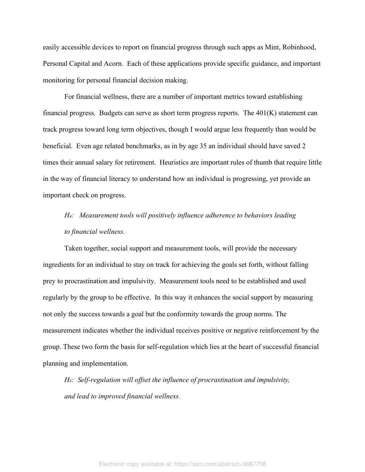easily accessible devices to report on financial progress through such apps as Mint, Robinhood, Personal Capital and Acorn. Each of these applications provide specific guidance, and important monitoring for personal financial decision making.

For financial wellness, there are a number of important metrics toward establishing financial progress. Budgets can serve as short term progress reports. The  $401(K)$  statement can track progress toward long term objectives, though I would argue less frequently than would be beneficial. Even age related benchmarks, as in by age 35 an individual should have saved 2 times their annual salary for retirement. Heuristics are important rules of thumb that require little in the way of financial literacy to understand how an individual is progressing, yet provide an important check on progress.

# *H₄: Measurement tools will positively influence adherence to behaviors leading to financial wellness.*

Taken together, social support and measurement tools, will provide the necessary ingredients for an individual to stay on track for achieving the goals set forth, without falling prey to procrastination and impulsivity. Measurement tools need to be established and used regularly by the group to be effective. In this way it enhances the social support by measuring not only the success towards a goal but the conformity towards the group norms. The measurement indicates whether the individual receives positive or negative reinforcement by the group. These two form the basis for self-regulation which lies at the heart of successful financial planning and implementation.

*H<sub>5</sub>*: *Self-regulation will offset the influence of procrastination and impulsivity, and lead to improved financial wellness.*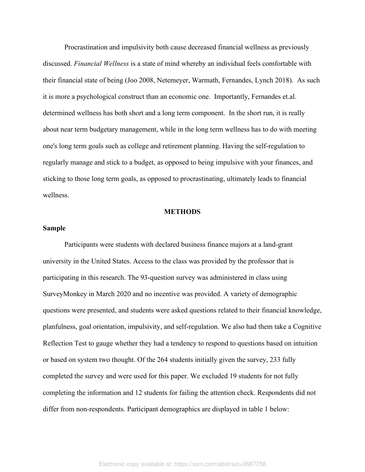Procrastination and impulsivity both cause decreased financial wellness as previously discussed. *Financial Wellness* is a state of mind whereby an individual feels comfortable with their financial state of being (Joo 2008, Netemeyer, Warmath, Fernandes, Lynch 2018). As such it is more a psychological construct than an economic one. Importantly, Fernandes et.al. determined wellness has both short and a long term component. In the short run, it is really about near term budgetary management, while in the long term wellness has to do with meeting one's long term goals such as college and retirement planning. Having the self-regulation to regularly manage and stick to a budget, as opposed to being impulsive with your finances, and sticking to those long term goals, as opposed to procrastinating, ultimately leads to financial wellness.

#### **METHODS**

# **Sample**

Participants were students with declared business finance majors at a land-grant university in the United States. Access to the class was provided by the professor that is participating in this research. The 93-question survey was administered in class using SurveyMonkey in March 2020 and no incentive was provided. A variety of demographic questions were presented, and students were asked questions related to their financial knowledge, planfulness, goal orientation, impulsivity, and self-regulation. We also had them take a Cognitive Reflection Test to gauge whether they had a tendency to respond to questions based on intuition or based on system two thought. Of the 264 students initially given the survey, 233 fully completed the survey and were used for this paper. We excluded 19 students for not fully completing the information and 12 students for failing the attention check. Respondents did not differ from non-respondents. Participant demographics are displayed in table 1 below: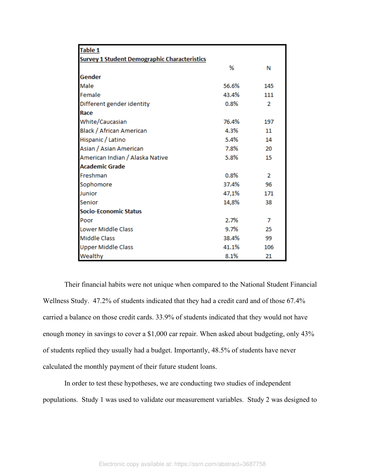| <b>Table 1</b>                                      |       |                |  |  |  |  |  |
|-----------------------------------------------------|-------|----------------|--|--|--|--|--|
| <b>Survey 1 Student Demographic Characteristics</b> |       |                |  |  |  |  |  |
|                                                     | %     | Ν              |  |  |  |  |  |
| Gender                                              |       |                |  |  |  |  |  |
| Male                                                | 56.6% | 145            |  |  |  |  |  |
| Female                                              | 43.4% | 111            |  |  |  |  |  |
| Different gender identity                           | 0.8%  | $\overline{2}$ |  |  |  |  |  |
| Race                                                |       |                |  |  |  |  |  |
| White/Caucasian                                     | 76.4% | 197            |  |  |  |  |  |
| Black / African American                            | 4.3%  | 11             |  |  |  |  |  |
| Hispanic / Latino                                   | 5.4%  | 14             |  |  |  |  |  |
| Asian / Asian American                              | 7.8%  | 20             |  |  |  |  |  |
| American Indian / Alaska Native                     | 5.8%  | 15             |  |  |  |  |  |
| <b>Academic Grade</b>                               |       |                |  |  |  |  |  |
| Freshman                                            | 0.8%  | $\overline{2}$ |  |  |  |  |  |
| Sophomore                                           | 37.4% | 96             |  |  |  |  |  |
| Junior                                              | 47,1% | 171            |  |  |  |  |  |
| Senior                                              | 14,8% | 38             |  |  |  |  |  |
| <b>Socio-Economic Status</b>                        |       |                |  |  |  |  |  |
| Poor                                                | 2.7%  | 7              |  |  |  |  |  |
| <b>Lower Middle Class</b>                           | 9.7%  | 25             |  |  |  |  |  |
| <b>Middle Class</b>                                 | 38.4% | 99             |  |  |  |  |  |
| <b>Upper Middle Class</b>                           | 41.1% | 106            |  |  |  |  |  |
| Wealthy                                             | 8.1%  | 21             |  |  |  |  |  |

Their financial habits were not unique when compared to the National Student Financial Wellness Study. 47.2% of students indicated that they had a credit card and of those 67.4% carried a balance on those credit cards. 33.9% of students indicated that they would not have enough money in savings to cover a \$1,000 car repair. When asked about budgeting, only 43% of students replied they usually had a budget. Importantly, 48.5% of students have never calculated the monthly payment of their future student loans.

In order to test these hypotheses, we are conducting two studies of independent populations. Study 1 was used to validate our measurement variables. Study 2 was designed to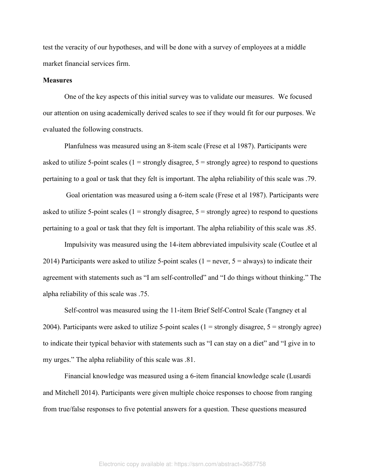test the veracity of our hypotheses, and will be done with a survey of employees at a middle market financial services firm.

### **Measures**

One of the key aspects of this initial survey was to validate our measures. We focused our attention on using academically derived scales to see if they would fit for our purposes. We evaluated the following constructs.

Planfulness was measured using an 8-item scale (Frese et al 1987). Participants were asked to utilize 5-point scales ( $1 =$  strongly disagree,  $5 =$  strongly agree) to respond to questions pertaining to a goal or task that they felt is important. The alpha reliability of this scale was .79.

 Goal orientation was measured using a 6-item scale (Frese et al 1987). Participants were asked to utilize 5-point scales ( $1 =$  strongly disagree,  $5 =$  strongly agree) to respond to questions pertaining to a goal or task that they felt is important. The alpha reliability of this scale was .85.

Impulsivity was measured using the 14-item abbreviated impulsivity scale (Coutlee et al 2014) Participants were asked to utilize 5-point scales ( $1 = never, 5 = always$ ) to indicate their agreement with statements such as "I am self-controlled" and "I do things without thinking." The alpha reliability of this scale was .75.

Self-control was measured using the 11-item Brief Self-Control Scale (Tangney et al 2004). Participants were asked to utilize 5-point scales  $(1 =$  strongly disagree,  $5 =$  strongly agree) to indicate their typical behavior with statements such as "I can stay on a diet" and "I give in to my urges." The alpha reliability of this scale was .81.

Financial knowledge was measured using a 6-item financial knowledge scale (Lusardi and Mitchell 2014). Participants were given multiple choice responses to choose from ranging from true/false responses to five potential answers for a question. These questions measured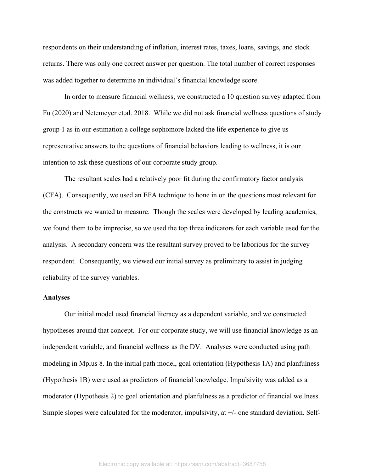respondents on their understanding of inflation, interest rates, taxes, loans, savings, and stock returns. There was only one correct answer per question. The total number of correct responses was added together to determine an individual's financial knowledge score.

In order to measure financial wellness, we constructed a 10 question survey adapted from Fu (2020) and Netemeyer et.al. 2018. While we did not ask financial wellness questions of study group 1 as in our estimation a college sophomore lacked the life experience to give us representative answers to the questions of financial behaviors leading to wellness, it is our intention to ask these questions of our corporate study group.

The resultant scales had a relatively poor fit during the confirmatory factor analysis (CFA). Consequently, we used an EFA technique to hone in on the questions most relevant for the constructs we wanted to measure. Though the scales were developed by leading academics, we found them to be imprecise, so we used the top three indicators for each variable used for the analysis. A secondary concern was the resultant survey proved to be laborious for the survey respondent. Consequently, we viewed our initial survey as preliminary to assist in judging reliability of the survey variables.

#### **Analyses**

Our initial model used financial literacy as a dependent variable, and we constructed hypotheses around that concept. For our corporate study, we will use financial knowledge as an independent variable, and financial wellness as the DV. Analyses were conducted using path modeling in Mplus 8. In the initial path model, goal orientation (Hypothesis 1A) and planfulness (Hypothesis 1B) were used as predictors of financial knowledge. Impulsivity was added as a moderator (Hypothesis 2) to goal orientation and planfulness as a predictor of financial wellness. Simple slopes were calculated for the moderator, impulsivity, at +/- one standard deviation. Self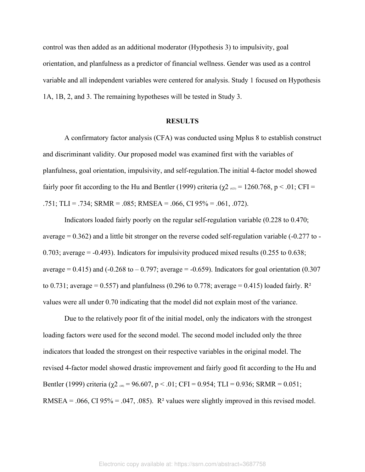control was then added as an additional moderator (Hypothesis 3) to impulsivity, goal orientation, and planfulness as a predictor of financial wellness. Gender was used as a control variable and all independent variables were centered for analysis. Study 1 focused on Hypothesis 1A, 1B, 2, and 3. The remaining hypotheses will be tested in Study 3.

## **RESULTS**

A confirmatory factor analysis (CFA) was conducted using Mplus 8 to establish construct and discriminant validity. Our proposed model was examined first with the variables of planfulness, goal orientation, impulsivity, and self-regulation.The initial 4-factor model showed fairly poor fit according to the Hu and Bentler (1999) criteria ( $χ2$  (623) = 1260.768, p < .01; CFI = .751; TLI = .734; SRMR = .085; RMSEA = .066, CI  $95\%$  = .061, .072).

Indicators loaded fairly poorly on the regular self-regulation variable (0.228 to 0.470; average  $= 0.362$ ) and a little bit stronger on the reverse coded self-regulation variable (-0.277 to -0.703; average  $= -0.493$ ). Indicators for impulsivity produced mixed results (0.255 to 0.638; average =  $0.415$ ) and  $(-0.268 \text{ to } -0.797)$ ; average =  $-0.659$ ). Indicators for goal orientation  $(0.307$ to 0.731; average = 0.557) and planfulness (0.296 to 0.778; average = 0.415) loaded fairly.  $\mathbb{R}^2$ values were all under 0.70 indicating that the model did not explain most of the variance.

Due to the relatively poor fit of the initial model, only the indicators with the strongest loading factors were used for the second model. The second model included only the three indicators that loaded the strongest on their respective variables in the original model. The revised 4-factor model showed drastic improvement and fairly good fit according to the Hu and Bentler (1999) criteria ( $\chi$ 2 (48) = 96.607, p < .01; CFI = 0.954; TLI = 0.936; SRMR = 0.051; RMSEA = .066, CI 95% = .047, .085). R<sup>2</sup> values were slightly improved in this revised model.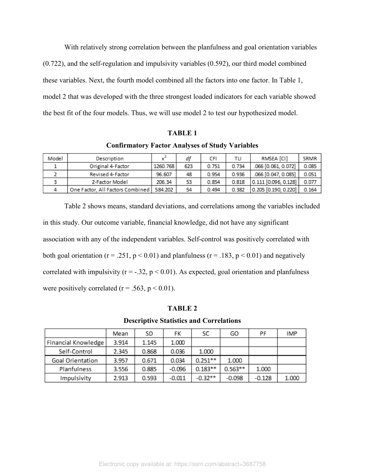With relatively strong correlation between the planfulness and goal orientation variables (0.722), and the self-regulation and impulsivity variables (0.592), our third model combined these variables. Next, the fourth model combined all the factors into one factor. In Table 1, model 2 that was developed with the three strongest loaded indicators for each variable showed the best fit of the four models. Thus, we will use model 2 to test our hypothesized model.

#### **TABLE 1**

#### **Confirmatory Factor Analyses of Study Variables**

| Model | Description                      | - v^     | df  | CFI   | тu    | RMSEA [CI]             | SRMR  |
|-------|----------------------------------|----------|-----|-------|-------|------------------------|-------|
|       | Original 4-Factor                | 1260.768 | 623 | 0.751 | 0.734 | .066 [0.061, 0.072]    | 0.085 |
|       | Revised 4-Factor                 | 96.607   | 48  | 0.954 | 0.936 | .066 [0.047, 0.085]    | 0.051 |
|       | 2-Factor Model                   | 206.34   | 53  | 0.854 | 0.818 | 0.111 [0.096, 0.128]   | 0.077 |
|       | One Factor, All Factors Combined | 584.202  | 54  | 0.494 | 0.382 | $0.205$ [0.190, 0.220] | 0.164 |

Table 2 shows means, standard deviations, and correlations among the variables included in this study. Our outcome variable, financial knowledge, did not have any significant association with any of the independent variables. Self-control was positively correlated with both goal orientation ( $r = .251$ ,  $p < 0.01$ ) and planfulness ( $r = .183$ ,  $p < 0.01$ ) and negatively correlated with impulsivity ( $r = -0.32$ ,  $p < 0.01$ ). As expected, goal orientation and planfulness were positively correlated ( $r = .563$ ,  $p < 0.01$ ).

# **TABLE 2**

**Descriptive Statistics and Correlations**

|                     | Mean  | SD    | FK       | SĊ        | GO        | PF       | <b>IMP</b> |
|---------------------|-------|-------|----------|-----------|-----------|----------|------------|
| Financial Knowledge | 3.914 | 1.145 | 1.000    |           |           |          |            |
| Self-Control        | 2.345 | 0.868 | 0.036    | 1.000     |           |          |            |
| Goal Orientation    | 3.957 | 0.671 | 0.034    | $0.251**$ | 1.000     |          |            |
| Planfulness         | 3.556 | 0.885 | $-0.096$ | $0.183**$ | $0.563**$ | 1.000    |            |
| Impulsivity         | 2.913 | 0.593 | $-0.011$ | $-0.32**$ | $-0.098$  | $-0.128$ | 1.000      |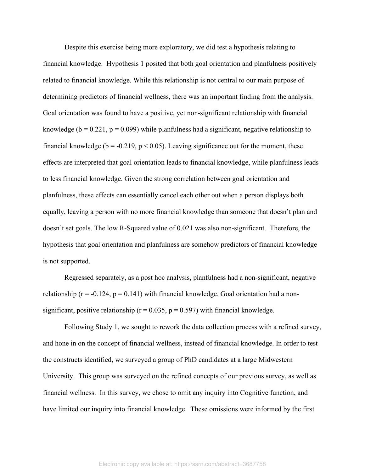Despite this exercise being more exploratory, we did test a hypothesis relating to financial knowledge. Hypothesis 1 posited that both goal orientation and planfulness positively related to financial knowledge. While this relationship is not central to our main purpose of determining predictors of financial wellness, there was an important finding from the analysis. Goal orientation was found to have a positive, yet non-significant relationship with financial knowledge ( $b = 0.221$ ,  $p = 0.099$ ) while planfulness had a significant, negative relationship to financial knowledge ( $b = -0.219$ ,  $p < 0.05$ ). Leaving significance out for the moment, these effects are interpreted that goal orientation leads to financial knowledge, while planfulness leads to less financial knowledge. Given the strong correlation between goal orientation and planfulness, these effects can essentially cancel each other out when a person displays both equally, leaving a person with no more financial knowledge than someone that doesn't plan and doesn't set goals. The low R-Squared value of 0.021 was also non-significant. Therefore, the hypothesis that goal orientation and planfulness are somehow predictors of financial knowledge is not supported.

Regressed separately, as a post hoc analysis, planfulness had a non-significant, negative relationship ( $r = -0.124$ ,  $p = 0.141$ ) with financial knowledge. Goal orientation had a nonsignificant, positive relationship ( $r = 0.035$ ,  $p = 0.597$ ) with financial knowledge.

Following Study 1, we sought to rework the data collection process with a refined survey, and hone in on the concept of financial wellness, instead of financial knowledge. In order to test the constructs identified, we surveyed a group of PhD candidates at a large Midwestern University. This group was surveyed on the refined concepts of our previous survey, as well as financial wellness. In this survey, we chose to omit any inquiry into Cognitive function, and have limited our inquiry into financial knowledge. These omissions were informed by the first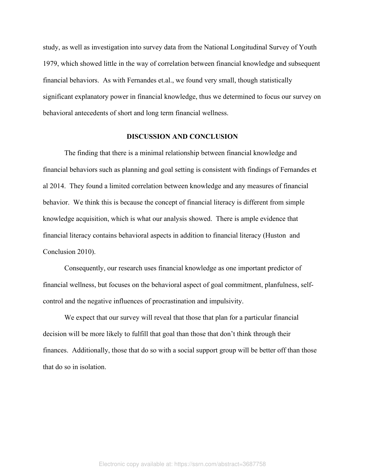study, as well as investigation into survey data from the National Longitudinal Survey of Youth 1979, which showed little in the way of correlation between financial knowledge and subsequent financial behaviors. As with Fernandes et.al., we found very small, though statistically significant explanatory power in financial knowledge, thus we determined to focus our survey on behavioral antecedents of short and long term financial wellness.

### **DISCUSSION AND CONCLUSION**

The finding that there is a minimal relationship between financial knowledge and financial behaviors such as planning and goal setting is consistent with findings of Fernandes et al 2014. They found a limited correlation between knowledge and any measures of financial behavior. We think this is because the concept of financial literacy is different from simple knowledge acquisition, which is what our analysis showed. There is ample evidence that financial literacy contains behavioral aspects in addition to financial literacy (Huston and Conclusion 2010).

Consequently, our research uses financial knowledge as one important predictor of financial wellness, but focuses on the behavioral aspect of goal commitment, planfulness, selfcontrol and the negative influences of procrastination and impulsivity.

We expect that our survey will reveal that those that plan for a particular financial decision will be more likely to fulfill that goal than those that don't think through their finances. Additionally, those that do so with a social support group will be better off than those that do so in isolation.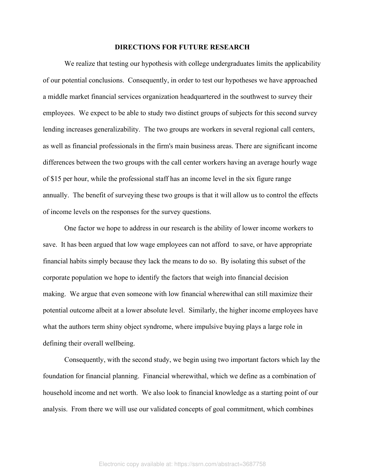### **DIRECTIONS FOR FUTURE RESEARCH**

We realize that testing our hypothesis with college undergraduates limits the applicability of our potential conclusions. Consequently, in order to test our hypotheses we have approached a middle market financial services organization headquartered in the southwest to survey their employees. We expect to be able to study two distinct groups of subjects for this second survey lending increases generalizability. The two groups are workers in several regional call centers, as well as financial professionals in the firm's main business areas. There are significant income differences between the two groups with the call center workers having an average hourly wage of \$15 per hour, while the professional staff has an income level in the six figure range annually. The benefit of surveying these two groups is that it will allow us to control the effects of income levels on the responses for the survey questions.

One factor we hope to address in our research is the ability of lower income workers to save. It has been argued that low wage employees can not afford to save, or have appropriate financial habits simply because they lack the means to do so. By isolating this subset of the corporate population we hope to identify the factors that weigh into financial decision making. We argue that even someone with low financial wherewithal can still maximize their potential outcome albeit at a lower absolute level. Similarly, the higher income employees have what the authors term shiny object syndrome, where impulsive buying plays a large role in defining their overall wellbeing.

Consequently, with the second study, we begin using two important factors which lay the foundation for financial planning. Financial wherewithal, which we define as a combination of household income and net worth. We also look to financial knowledge as a starting point of our analysis. From there we will use our validated concepts of goal commitment, which combines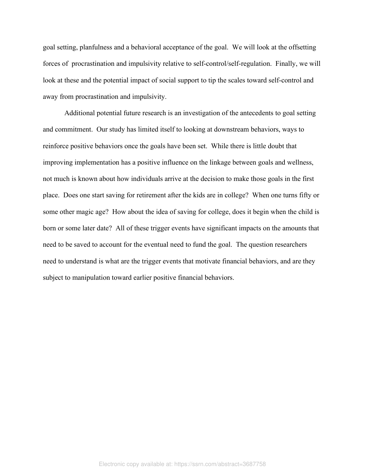goal setting, planfulness and a behavioral acceptance of the goal. We will look at the offsetting forces of procrastination and impulsivity relative to self-control/self-regulation. Finally, we will look at these and the potential impact of social support to tip the scales toward self-control and away from procrastination and impulsivity.

Additional potential future research is an investigation of the antecedents to goal setting and commitment. Our study has limited itself to looking at downstream behaviors, ways to reinforce positive behaviors once the goals have been set. While there is little doubt that improving implementation has a positive influence on the linkage between goals and wellness, not much is known about how individuals arrive at the decision to make those goals in the first place. Does one start saving for retirement after the kids are in college? When one turns fifty or some other magic age? How about the idea of saving for college, does it begin when the child is born or some later date? All of these trigger events have significant impacts on the amounts that need to be saved to account for the eventual need to fund the goal. The question researchers need to understand is what are the trigger events that motivate financial behaviors, and are they subject to manipulation toward earlier positive financial behaviors.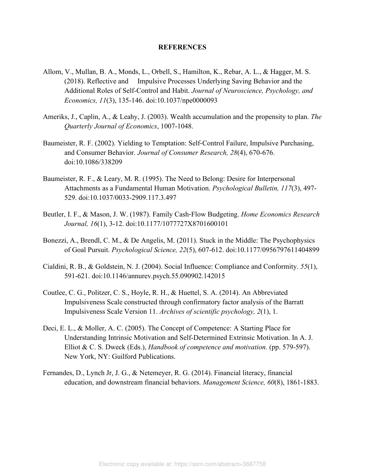### **REFERENCES**

- Allom, V., Mullan, B. A., Monds, L., Orbell, S., Hamilton, K., Rebar, A. L., & Hagger, M. S. (2018). Reflective and Impulsive Processes Underlying Saving Behavior and the Additional Roles of Self-Control and Habit. *Journal of Neuroscience, Psychology, and Economics, 11*(3), 135-146. doi:10.1037/npe0000093
- Ameriks, J., Caplin, A., & Leahy, J. (2003). Wealth accumulation and the propensity to plan. *The Quarterly Journal of Economics*, 1007-1048.
- Baumeister, R. F. (2002). Yielding to Temptation: Self‐Control Failure, Impulsive Purchasing, and Consumer Behavior. *Journal of Consumer Research, 28*(4), 670-676. doi:10.1086/338209
- Baumeister, R. F., & Leary, M. R. (1995). The Need to Belong: Desire for Interpersonal Attachments as a Fundamental Human Motivation. *Psychological Bulletin, 117*(3), 497- 529. doi:10.1037/0033-2909.117.3.497
- Beutler, I. F., & Mason, J. W. (1987). Family Cash‐Flow Budgeting. *Home Economics Research Journal, 16*(1), 3-12. doi:10.1177/1077727X8701600101
- Bonezzi, A., Brendl, C. M., & De Angelis, M. (2011). Stuck in the Middle: The Psychophysics of Goal Pursuit. *Psychological Science, 22*(5), 607-612. doi:10.1177/0956797611404899
- Cialdini, R. B., & Goldstein, N. J. (2004). Social Influence: Compliance and Conformity. *55*(1), 591-621. doi:10.1146/annurev.psych.55.090902.142015
- Coutlee, C. G., Politzer, C. S., Hoyle, R. H., & Huettel, S. A. (2014). An Abbreviated Impulsiveness Scale constructed through confirmatory factor analysis of the Barratt Impulsiveness Scale Version 11. *Archives of scientific psychology, 2*(1), 1.
- Deci, E. L., & Moller, A. C. (2005). The Concept of Competence: A Starting Place for Understanding Intrinsic Motivation and Self-Determined Extrinsic Motivation. In A. J. Elliot & C. S. Dweck (Eds.), *Handbook of competence and motivation.* (pp. 579-597). New York, NY: Guilford Publications.
- Fernandes, D., Lynch Jr, J. G., & Netemeyer, R. G. (2014). Financial literacy, financial education, and downstream financial behaviors. *Management Science, 60*(8), 1861-1883.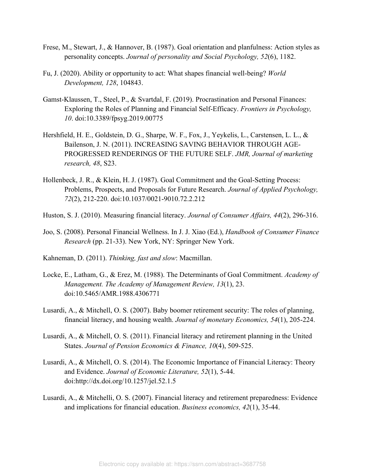- Frese, M., Stewart, J., & Hannover, B. (1987). Goal orientation and planfulness: Action styles as personality concepts. *Journal of personality and Social Psychology, 52*(6), 1182.
- Fu, J. (2020). Ability or opportunity to act: What shapes financial well-being? *World Development, 128*, 104843.
- Gamst-Klaussen, T., Steel, P., & Svartdal, F. (2019). Procrastination and Personal Finances: Exploring the Roles of Planning and Financial Self-Efficacy. *Frontiers in Psychology, 10*. doi:10.3389/fpsyg.2019.00775
- Hershfield, H. E., Goldstein, D. G., Sharpe, W. F., Fox, J., Yeykelis, L., Carstensen, L. L., & Bailenson, J. N. (2011). INCREASING SAVING BEHAVIOR THROUGH AGE-PROGRESSED RENDERINGS OF THE FUTURE SELF. *JMR, Journal of marketing research, 48*, S23.
- Hollenbeck, J. R., & Klein, H. J. (1987). Goal Commitment and the Goal-Setting Process: Problems, Prospects, and Proposals for Future Research. *Journal of Applied Psychology, 72*(2), 212-220. doi:10.1037/0021-9010.72.2.212
- Huston, S. J. (2010). Measuring financial literacy. *Journal of Consumer Affairs, 44*(2), 296-316.
- Joo, S. (2008). Personal Financial Wellness. In J. J. Xiao (Ed.), *Handbook of Consumer Finance Research* (pp. 21-33). New York, NY: Springer New York.
- Kahneman, D. (2011). *Thinking, fast and slow*: Macmillan.
- Locke, E., Latham, G., & Erez, M. (1988). The Determinants of Goal Commitment. *Academy of Management. The Academy of Management Review, 13*(1), 23. doi:10.5465/AMR.1988.4306771
- Lusardi, A., & Mitchell, O. S. (2007). Baby boomer retirement security: The roles of planning, financial literacy, and housing wealth. *Journal of monetary Economics, 54*(1), 205-224.
- Lusardi, A., & Mitchell, O. S. (2011). Financial literacy and retirement planning in the United States. *Journal of Pension Economics & Finance, 10*(4), 509-525.
- Lusardi, A., & Mitchell, O. S. (2014). The Economic Importance of Financial Literacy: Theory and Evidence. *Journal of Economic Literature, 52*(1), 5-44. doi:http://dx.doi.org/10.1257/jel.52.1.5
- Lusardi, A., & Mitchelli, O. S. (2007). Financial literacy and retirement preparedness: Evidence and implications for financial education. *Business economics, 42*(1), 35-44.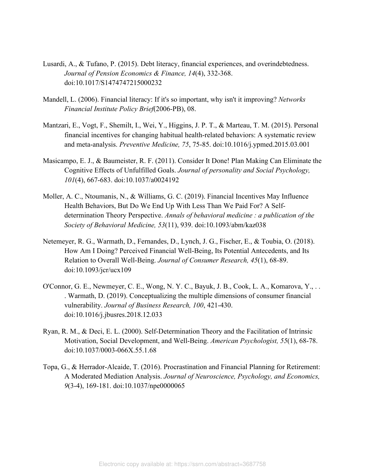- Lusardi, A., & Tufano, P. (2015). Debt literacy, financial experiences, and overindebtedness. *Journal of Pension Economics & Finance, 14*(4), 332-368. doi:10.1017/S1474747215000232
- Mandell, L. (2006). Financial literacy: If it's so important, why isn't it improving? *Networks Financial Institute Policy Brief*(2006-PB), 08.
- Mantzari, E., Vogt, F., Shemilt, I., Wei, Y., Higgins, J. P. T., & Marteau, T. M. (2015). Personal financial incentives for changing habitual health-related behaviors: A systematic review and meta-analysis. *Preventive Medicine, 75*, 75-85. doi:10.1016/j.ypmed.2015.03.001
- Masicampo, E. J., & Baumeister, R. F. (2011). Consider It Done! Plan Making Can Eliminate the Cognitive Effects of Unfulfilled Goals. *Journal of personality and Social Psychology, 101*(4), 667-683. doi:10.1037/a0024192
- Moller, A. C., Ntoumanis, N., & Williams, G. C. (2019). Financial Incentives May Influence Health Behaviors, But Do We End Up With Less Than We Paid For? A Selfdetermination Theory Perspective. *Annals of behavioral medicine : a publication of the Society of Behavioral Medicine, 53*(11), 939. doi:10.1093/abm/kaz038
- Netemeyer, R. G., Warmath, D., Fernandes, D., Lynch, J. G., Fischer, E., & Toubia, O. (2018). How Am I Doing? Perceived Financial Well-Being, Its Potential Antecedents, and Its Relation to Overall Well-Being. *Journal of Consumer Research, 45*(1), 68-89. doi:10.1093/jcr/ucx109
- O'Connor, G. E., Newmeyer, C. E., Wong, N. Y. C., Bayuk, J. B., Cook, L. A., Komarova, Y., . . . Warmath, D. (2019). Conceptualizing the multiple dimensions of consumer financial vulnerability. *Journal of Business Research, 100*, 421-430. doi:10.1016/j.jbusres.2018.12.033
- Ryan, R. M., & Deci, E. L. (2000). Self-Determination Theory and the Facilitation of Intrinsic Motivation, Social Development, and Well-Being. *American Psychologist, 55*(1), 68-78. doi:10.1037/0003-066X.55.1.68
- Topa, G., & Herrador-Alcaide, T. (2016). Procrastination and Financial Planning for Retirement: A Moderated Mediation Analysis. *Journal of Neuroscience, Psychology, and Economics, 9*(3-4), 169-181. doi:10.1037/npe0000065